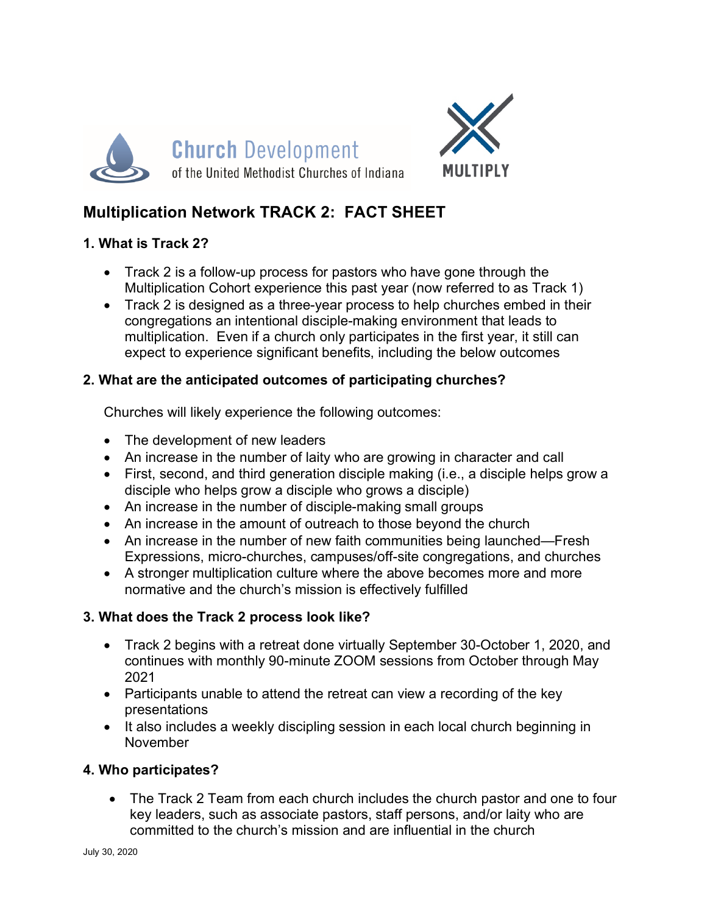



# **Multiplication Network TRACK 2: FACT SHEET**

### **1. What is Track 2?**

- Track 2 is a follow-up process for pastors who have gone through the Multiplication Cohort experience this past year (now referred to as Track 1)
- Track 2 is designed as a three-year process to help churches embed in their congregations an intentional disciple-making environment that leads to multiplication. Even if a church only participates in the first year, it still can expect to experience significant benefits, including the below outcomes

### **2. What are the anticipated outcomes of participating churches?**

Churches will likely experience the following outcomes:

- The development of new leaders
- An increase in the number of laity who are growing in character and call
- First, second, and third generation disciple making (i.e., a disciple helps grow a disciple who helps grow a disciple who grows a disciple)
- An increase in the number of disciple-making small groups
- An increase in the amount of outreach to those beyond the church
- An increase in the number of new faith communities being launched—Fresh Expressions, micro-churches, campuses/off-site congregations, and churches
- A stronger multiplication culture where the above becomes more and more normative and the church's mission is effectively fulfilled

# **3. What does the Track 2 process look like?**

- Track 2 begins with a retreat done virtually September 30-October 1, 2020, and continues with monthly 90-minute ZOOM sessions from October through May 2021
- Participants unable to attend the retreat can view a recording of the key presentations
- It also includes a weekly discipling session in each local church beginning in November

# **4. Who participates?**

• The Track 2 Team from each church includes the church pastor and one to four key leaders, such as associate pastors, staff persons, and/or laity who are committed to the church's mission and are influential in the church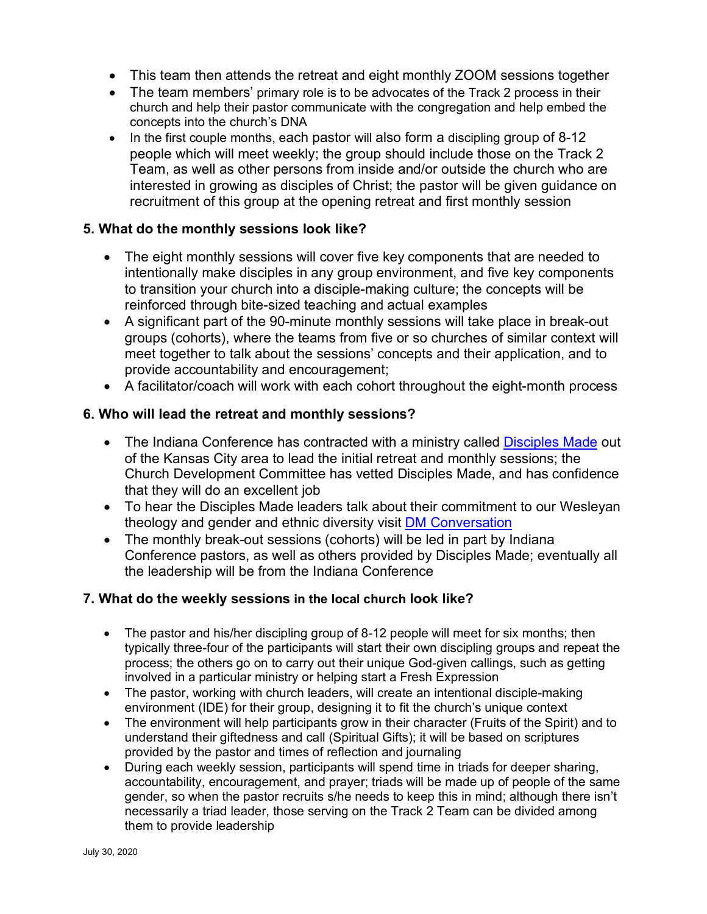- This team then attends the retreat and eight monthly ZOOM sessions together
- The team members' primary role is to be advocates of the Track 2 process in their church and help their pastor communicate with the congregation and help embed the concepts into the church's DNA
- In the first couple months, each pastor will also form a discipling group of 8-12 people which will meet weekly; the group should include those on the Track 2 Team, as well as other persons from inside and/or outside the church who are interested in growing as disciples of Christ; the pastor will be given guidance on recruitment of this group at the opening retreat and first monthly session

#### **5. What do the monthly sessions look like?**

- The eight monthly sessions will cover five key components that are needed to intentionally make disciples in any group environment, and five key components to transition your church into a disciple-making culture; the concepts will be reinforced through bite-sized teaching and actual examples
- A significant part of the 90-minute monthly sessions will take place in break-out groups (cohorts), where the teams from five or so churches of similar context will meet together to talk about the sessions' concepts and their application, and to provide accountability and encouragement;
- A facilitator/coach will work with each cohort throughout the eight-month process

### **6. Who will lead the retreat and monthly sessions?**

- The Indiana Conference has contracted with a ministry called Disciples Made out of the Kansas City area to lead the initial retreat and monthly sessions; the Church Development Committee has vetted Disciples Made, and has confidence that they will do an excellent job
- To hear the Disciples Made leaders talk about their commitment to our Wesleyan theology and gender and ethnic diversity visit DM Conversation
- The monthly break-out sessions (cohorts) will be led in part by Indiana Conference pastors, as well as others provided by Disciples Made; eventually all the leadership will be from the Indiana Conference

#### **7. What do the weekly sessions in the local church look like?**

- The pastor and his/her discipling group of 8-12 people will meet for six months; then typically three-four of the participants will start their own discipling groups and repeat the process; the others go on to carry out their unique God-given callings, such as getting involved in a particular ministry or helping start a Fresh Expression
- The pastor, working with church leaders, will create an intentional disciple-making environment (IDE) for their group, designing it to fit the church's unique context
- The environment will help participants grow in their character (Fruits of the Spirit) and to understand their giftedness and call (Spiritual Gifts); it will be based on scriptures provided by the pastor and times of reflection and journaling
- During each weekly session, participants will spend time in triads for deeper sharing, accountability, encouragement, and prayer; triads will be made up of people of the same gender, so when the pastor recruits s/he needs to keep this in mind; although there isn't necessarily a triad leader, those serving on the Track 2 Team can be divided among them to provide leadership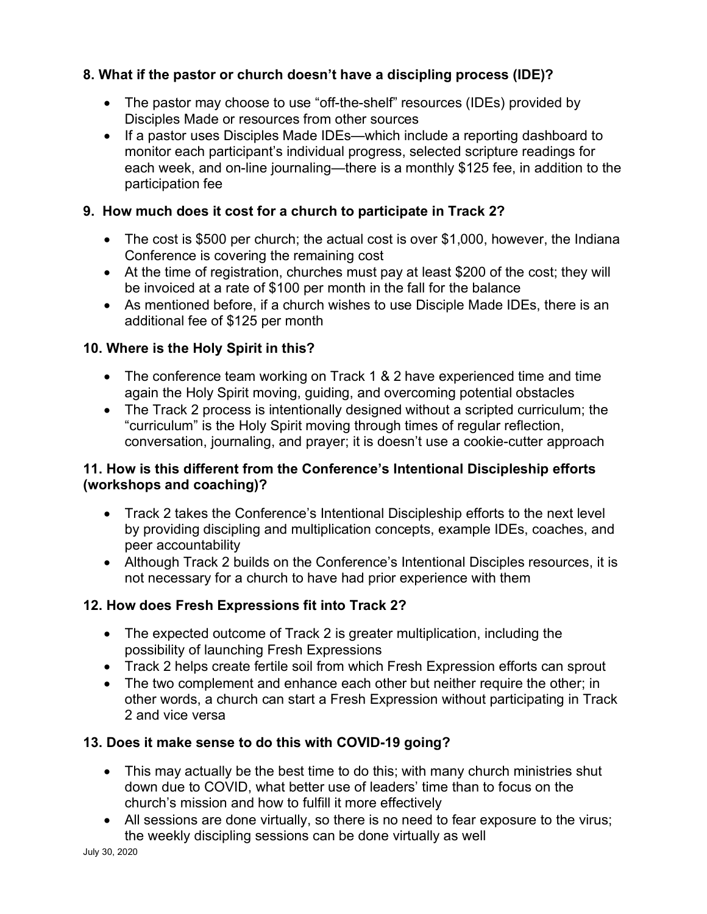### **8. What if the pastor or church doesn't have a discipling process (IDE)?**

- The pastor may choose to use "off-the-shelf" resources (IDEs) provided by Disciples Made or resources from other sources
- If a pastor uses Disciples Made IDEs—which include a reporting dashboard to monitor each participant's individual progress, selected scripture readings for each week, and on-line journaling—there is a monthly \$125 fee, in addition to the participation fee

### **9. How much does it cost for a church to participate in Track 2?**

- The cost is \$500 per church; the actual cost is over \$1,000, however, the Indiana Conference is covering the remaining cost
- At the time of registration, churches must pay at least \$200 of the cost; they will be invoiced at a rate of \$100 per month in the fall for the balance
- As mentioned before, if a church wishes to use Disciple Made IDEs, there is an additional fee of \$125 per month

### **10. Where is the Holy Spirit in this?**

- The conference team working on Track 1 & 2 have experienced time and time again the Holy Spirit moving, guiding, and overcoming potential obstacles
- The Track 2 process is intentionally designed without a scripted curriculum; the "curriculum" is the Holy Spirit moving through times of regular reflection, conversation, journaling, and prayer; it is doesn't use a cookie-cutter approach

### **11. How is this different from the Conference's Intentional Discipleship efforts (workshops and coaching)?**

- Track 2 takes the Conference's Intentional Discipleship efforts to the next level by providing discipling and multiplication concepts, example IDEs, coaches, and peer accountability
- Although Track 2 builds on the Conference's Intentional Disciples resources, it is not necessary for a church to have had prior experience with them

# **12. How does Fresh Expressions fit into Track 2?**

- The expected outcome of Track 2 is greater multiplication, including the possibility of launching Fresh Expressions
- Track 2 helps create fertile soil from which Fresh Expression efforts can sprout
- The two complement and enhance each other but neither require the other; in other words, a church can start a Fresh Expression without participating in Track 2 and vice versa

# **13. Does it make sense to do this with COVID-19 going?**

- This may actually be the best time to do this; with many church ministries shut down due to COVID, what better use of leaders' time than to focus on the church's mission and how to fulfill it more effectively
- All sessions are done virtually, so there is no need to fear exposure to the virus; the weekly discipling sessions can be done virtually as well